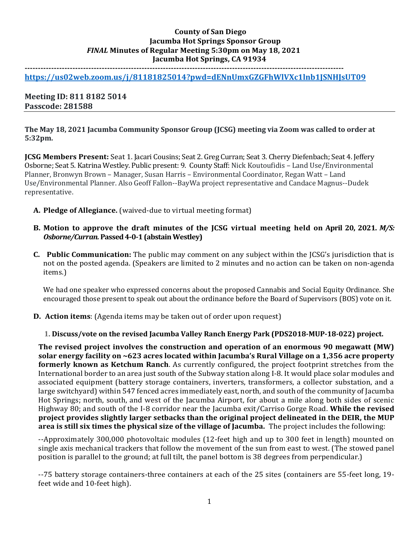### **County of San Diego Jacumba Hot Springs Sponsor Group** *FINAL* **Minutes of Regular Meeting 5:30pm on May 18, 2021 Jacumba Hot Springs, CA 91934**

**------------------------------------------------------------------------------------------------------------------------**

**<https://us02web.zoom.us/j/81181825014?pwd=dENnUmxGZGFhWlVXc1lnb1JSNHJsUT09>**

**Meeting ID: 811 8182 5014 Passcode: 281588**

**The May 18, 2021 Jacumba Community Sponsor Group (JCSG) meeting via Zoom was called to order at 5:32pm.**

**JCSG Members Present:** Seat 1. Jacari Cousins; Seat 2. Greg Curran; Seat 3. Cherry Diefenbach; Seat 4. Jeffery Osborne; Seat 5. Katrina Westley. Public present: 9. County Staff: Nick Koutoufidis – Land Use/Environmental Planner, Bronwyn Brown – Manager, Susan Harris – Environmental Coordinator, Regan Watt – Land Use/Environmental Planner. Also Geoff Fallon--BayWa project representative and Candace Magnus--Dudek representative.

- **A. Pledge of Allegiance.** (waived-due to virtual meeting format)
- **B. Motion to approve the draft minutes of the JCSG virtual meeting held on April 20, 2021.** *M/S: Osborne/Curran.* **Passed 4-0-1 (abstain Westley)**
- **C. Public Communication:** The public may comment on any subject within the JCSG's jurisdiction that is not on the posted agenda. (Speakers are limited to 2 minutes and no action can be taken on non-agenda items.)

We had one speaker who expressed concerns about the proposed Cannabis and Social Equity Ordinance. She encouraged those present to speak out about the ordinance before the Board of Supervisors (BOS) vote on it.

**D. Action items**: (Agenda items may be taken out of order upon request)

**1. Discuss/vote on the revised Jacumba Valley Ranch Energy Park (PDS2018-MUP-18-022) project.**

**The revised project involves the construction and operation of an enormous 90 megawatt (MW) solar energy facility on ~623 acres located within Jacumba's Rural Village on a 1,356 acre property formerly known as Ketchum Ranch**. As currently configured, the project footprint stretches from the International border to an area just south of the Subway station along I-8. It would place solar modules and associated equipment (battery storage containers, inverters, transformers, a collector substation, and a large switchyard) within 547 fenced acres immediately east, north, and south of the community of Jacumba Hot Springs; north, south, and west of the Jacumba Airport, for about a mile along both sides of scenic Highway 80; and south of the I-8 corridor near the Jacumba exit/Carriso Gorge Road. **While the revised project provides slightly larger setbacks than the original project delineated in the DEIR, the MUP area is still six times the physical size of the village of Jacumba.** The project includes the following:

--Approximately 300,000 photovoltaic modules (12-feet high and up to 300 feet in length) mounted on single axis mechanical trackers that follow the movement of the sun from east to west. (The stowed panel position is parallel to the ground; at full tilt, the panel bottom is 38 degrees from perpendicular.)

--75 battery storage containers-three containers at each of the 25 sites (containers are 55-feet long, 19 feet wide and 10-feet high).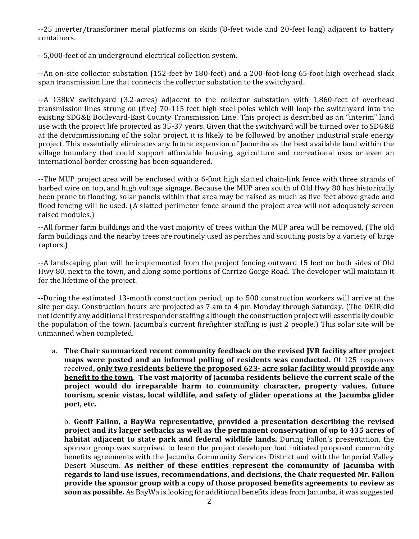--25 inverter/transformer metal platforms on skids (8-feet wide and 20-feet long) adjacent to battery containers.

--5,000-feet of an underground electrical collection system.

--An on-site collector substation (152-feet by 180-feet) and a 200-foot-long 65-foot-high overhead slack span transmission line that connects the collector substation to the switchyard.

--A 138kV switchyard (3.2-acres) adjacent to the collector substation with 1,860-feet of overhead transmission lines strung on (five) 70-115 feet high steel poles which will loop the switchyard into the existing SDG&E Boulevard-East County Transmission Line. This project is described as an "interim" land use with the project life projected as 35-37 years. Given that the switchyard will be turned over to SDG&E at the decommissioning of the solar project, it is likely to be followed by another industrial scale energy project. This essentially eliminates any future expansion of Jacumba as the best available land within the village boundary that could support affordable housing, agriculture and recreational uses or even an international border crossing has been squandered.

--The MUP project area will be enclosed with a 6-foot high slatted chain-link fence with three strands of barbed wire on top, and high voltage signage. Because the MUP area south of Old Hwy 80 has historically been prone to flooding, solar panels within that area may be raised as much as five feet above grade and flood fencing will be used. (A slatted perimeter fence around the project area will not adequately screen raised modules.)

--All former farm buildings and the vast majority of trees within the MUP area will be removed. (The old farm buildings and the nearby trees are routinely used as perches and scouting posts by a variety of large raptors.)

--A landscaping plan will be implemented from the project fencing outward 15 feet on both sides of Old Hwy 80, next to the town, and along some portions of Carrizo Gorge Road. The developer will maintain it for the lifetime of the project.

--During the estimated 13-month construction period, up to 500 construction workers will arrive at the site per day. Construction hours are projected as 7 am to 4 pm Monday through Saturday. (The DEIR did not identify any additional first responder staffing although the construction project will essentially double the population of the town. Jacumba's current firefighter staffing is just 2 people.) This solar site will be unmanned when completed.

a. **The Chair summarized recent community feedback on the revised JVR facility after project maps were posted and an informal polling of residents was conducted.** Of 125 responses received**, only two residents believe the proposed 623- acre solar facility would provide any benefit to the town**. **The vast majority of Jacumba residents believe the current scale of the project would do irreparable harm to community character, property values, future tourism, scenic vistas, local wildlife, and safety of glider operations at the Jacumba glider port, etc.**

b. **Geoff Fallon, a BayWa representative, provided a presentation describing the revised project and its larger setbacks as well as the permanent conservation of up to 435 acres of habitat adjacent to state park and federal wildlife lands.** During Fallon's presentation, the sponsor group was surprised to learn the project developer had initiated proposed community benefits agreements with the Jacumba Community Services District and with the Imperial Valley Desert Museum. **As neither of these entities represent the community of Jacumba with regards to land use issues, recommendations, and decisions, the Chair requested Mr. Fallon provide the sponsor group with a copy of those proposed benefits agreements to review as soon as possible.** As BayWa is looking for additional benefits ideas from Jacumba, it was suggested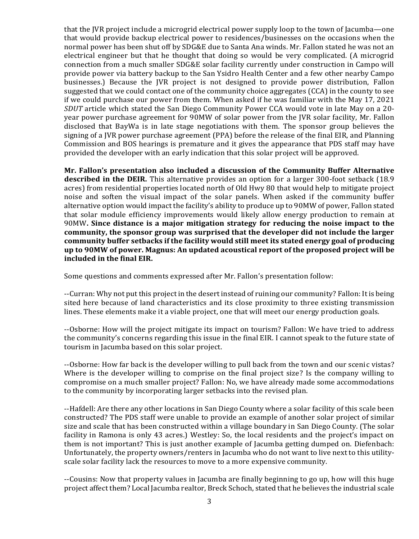that the JVR project include a microgrid electrical power supply loop to the town of Jacumba—one that would provide backup electrical power to residences/businesses on the occasions when the normal power has been shut off by SDG&E due to Santa Ana winds. Mr. Fallon stated he was not an electrical engineer but that he thought that doing so would be very complicated. (A microgrid connection from a much smaller SDG&E solar facility currently under construction in Campo will provide power via battery backup to the San Ysidro Health Center and a few other nearby Campo businesses.) Because the JVR project is not designed to provide power distribution, Fallon suggested that we could contact one of the community choice aggregates (CCA) in the county to see if we could purchase our power from them. When asked if he was familiar with the May 17, 2021 *SDUT* article which stated the San Diego Community Power CCA would vote in late May on a 20 year power purchase agreement for 90MW of solar power from the JVR solar facility, Mr. Fallon disclosed that BayWa is in late stage negotiations with them. The sponsor group believes the signing of a JVR power purchase agreement (PPA) before the release of the final EIR, and Planning Commission and BOS hearings is premature and it gives the appearance that PDS staff may have provided the developer with an early indication that this solar project will be approved.

**Mr. Fallon's presentation also included a discussion of the Community Buffer Alternative described in the DEIR.** This alternative provides an option for a larger 300-foot setback (18.9 acres) from residential properties located north of Old Hwy 80 that would help to mitigate project noise and soften the visual impact of the solar panels. When asked if the community buffer alternative option would impact the facility's ability to produce up to 90MW of power, Fallon stated that solar module efficiency improvements would likely allow energy production to remain at 90MW**. Since distance is a major mitigation strategy for reducing the noise impact to the community, the sponsor group was surprised that the developer did not include the larger community buffer setbacks if the facility would still meet its stated energy goal of producing up to 90MW of power. Magnus: An updated acoustical report of the proposed project will be included in the final EIR.**

Some questions and comments expressed after Mr. Fallon's presentation follow:

--Curran: Why not put this project in the desert instead of ruining our community? Fallon: It is being sited here because of land characteristics and its close proximity to three existing transmission lines. These elements make it a viable project, one that will meet our energy production goals.

--Osborne: How will the project mitigate its impact on tourism? Fallon: We have tried to address the community's concerns regarding this issue in the final EIR. I cannot speak to the future state of tourism in Jacumba based on this solar project.

--Osborne: How far back is the developer willing to pull back from the town and our scenic vistas? Where is the developer willing to comprise on the final project size? Is the company willing to compromise on a much smaller project? Fallon: No, we have already made some accommodations to the community by incorporating larger setbacks into the revised plan.

--Hafdell: Are there any other locations in San Diego County where a solar facility of this scale been constructed? The PDS staff were unable to provide an example of another solar project of similar size and scale that has been constructed within a village boundary in San Diego County. (The solar facility in Ramona is only 43 acres.) Westley: So, the local residents and the project's impact on them is not important? This is just another example of Jacumba getting dumped on. Diefenbach: Unfortunately, the property owners/renters in Jacumba who do not want to live next to this utilityscale solar facility lack the resources to move to a more expensive community.

--Cousins: Now that property values in Jacumba are finally beginning to go up, how will this huge project affect them? Local Jacumba realtor, Breck Schoch, stated that he believes the industrial scale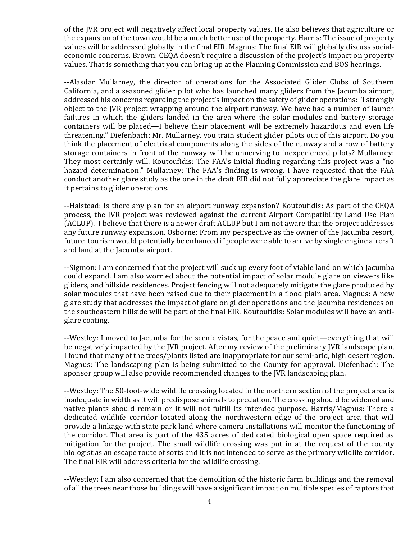of the JVR project will negatively affect local property values. He also believes that agriculture or the expansion of the town would be a much better use of the property. Harris: The issue of property values will be addressed globally in the final EIR. Magnus: The final EIR will globally discuss socialeconomic concerns. Brown: CEQA doesn't require a discussion of the project's impact on property values. That is something that you can bring up at the Planning Commission and BOS hearings.

--Alasdar Mullarney, the director of operations for the Associated Glider Clubs of Southern California, and a seasoned glider pilot who has launched many gliders from the Jacumba airport, addressed his concerns regarding the project's impact on the safety of glider operations:"I strongly object to the JVR project wrapping around the airport runway. We have had a number of launch failures in which the gliders landed in the area where the solar modules and battery storage containers will be placed—I believe their placement will be extremely hazardous and even life threatening." Diefenbach: Mr. Mullarney, you train student glider pilots out of this airport. Do you think the placement of electrical components along the sides of the runway and a row of battery storage containers in front of the runway will be unnerving to inexperienced pilots? Mullarney: They most certainly will. Koutoufidis: The FAA's initial finding regarding this project was a "no hazard determination." Mullarney: The FAA's finding is wrong. I have requested that the FAA conduct another glare study as the one in the draft EIR did not fully appreciate the glare impact as it pertains to glider operations.

--Halstead: Is there any plan for an airport runway expansion? Koutoufidis: As part of the CEQA process, the JVR project was reviewed against the current Airport Compatibility Land Use Plan (ACLUP). I believe that there is a newer draft ACLUP but I am not aware that the project addresses any future runway expansion. Osborne: From my perspective as the owner of the Jacumba resort, future tourism would potentially be enhanced if people were able to arrive by single engine aircraft and land at the Jacumba airport.

--Sigmon: I am concerned that the project will suck up every foot of viable land on which Jacumba could expand. I am also worried about the potential impact of solar module glare on viewers like gliders, and hillside residences. Project fencing will not adequately mitigate the glare produced by solar modules that have been raised due to their placement in a flood plain area. Magnus: A new glare study that addresses the impact of glare on gilder operations and the Jacumba residences on the southeastern hillside will be part of the final EIR. Koutoufidis: Solar modules will have an antiglare coating.

--Westley: I moved to Jacumba for the scenic vistas, for the peace and quiet—everything that will be negatively impacted by the JVR project. After my review of the preliminary JVR landscape plan, I found that many of the trees/plants listed are inappropriate for our semi-arid, high desert region. Magnus: The landscaping plan is being submitted to the County for approval. Diefenbach: The sponsor group will also provide recommended changes to the JVR landscaping plan.

--Westley: The 50-foot-wide wildlife crossing located in the northern section of the project area is inadequate in width as it will predispose animals to predation. The crossing should be widened and native plants should remain or it will not fulfill its intended purpose. Harris/Magnus: There a dedicated wildlife corridor located along the northwestern edge of the project area that will provide a linkage with state park land where camera installations will monitor the functioning of the corridor. That area is part of the 435 acres of dedicated biological open space required as mitigation for the project. The small wildlife crossing was put in at the request of the county biologist as an escape route of sorts and it is not intended to serve as the primary wildlife corridor. The final EIR will address criteria for the wildlife crossing.

--Westley: I am also concerned that the demolition of the historic farm buildings and the removal of all the trees near those buildings will have a significant impact on multiple species of raptors that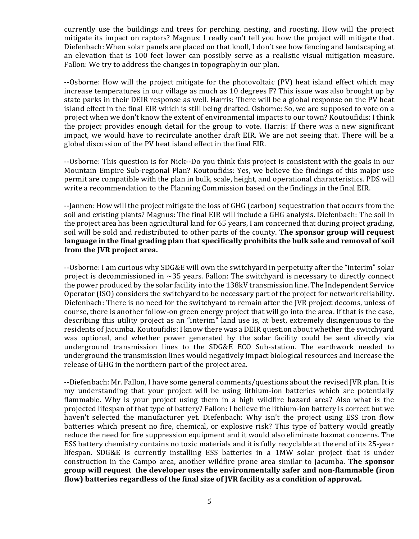currently use the buildings and trees for perching, nesting, and roosting. How will the project mitigate its impact on raptors? Magnus: I really can't tell you how the project will mitigate that. Diefenbach: When solar panels are placed on that knoll, I don't see how fencing and landscaping at an elevation that is 100 feet lower can possibly serve as a realistic visual mitigation measure. Fallon: We try to address the changes in topography in our plan.

--Osborne: How will the project mitigate for the photovoltaic (PV) heat island effect which may increase temperatures in our village as much as 10 degrees F? This issue was also brought up by state parks in their DEIR response as well. Harris: There will be a global response on the PV heat island effect in the final EIR which is still being drafted. Osborne: So, we are supposed to vote on a project when we don't know the extent of environmental impacts to our town? Koutoufidis: I think the project provides enough detail for the group to vote. Harris: If there was a new significant impact, we would have to recirculate another draft EIR. We are not seeing that. There will be a global discussion of the PV heat island effect in the final EIR.

--Osborne: This question is for Nick--Do you think this project is consistent with the goals in our Mountain Empire Sub-regional Plan? Koutoufidis: Yes, we believe the findings of this major use permit are compatible with the plan in bulk, scale, height, and operational characteristics. PDS will write a recommendation to the Planning Commission based on the findings in the final EIR.

--Jannen: How will the project mitigate the loss of GHG (carbon) sequestration that occurs from the soil and existing plants? Magnus: The final EIR will include a GHG analysis. Diefenbach: The soil in the project area has been agricultural land for 65 years, I am concerned that during project grading, soil will be sold and redistributed to other parts of the county. **The sponsor group will request language in the final grading plan that specifically prohibits the bulk sale and removal of soil from the JVR project area.**

--Osborne: I am curious why SDG&E will own the switchyard in perpetuity after the "interim" solar project is decommissioned in  $\sim$ 35 years. Fallon: The switchyard is necessary to directly connect the power produced by the solar facility into the 138kV transmission line. The Independent Service Operator (ISO) considers the switchyard to be necessary part of the project for network reliability. Diefenbach: There is no need for the switchyard to remain after the JVR project decoms, unless of course, there is another follow-on green energy project that will go into the area. If that is the case, describing this utility project as an "interim" land use is, at best, extremely disingenuous to the residents of Jacumba. Koutoufidis: I know there was a DEIR question about whether the switchyard was optional, and whether power generated by the solar facility could be sent directly via underground transmission lines to the SDG&E ECO Sub-station. The earthwork needed to underground the transmission lines would negatively impact biological resources and increase the release of GHG in the northern part of the project area.

--Diefenbach: Mr. Fallon, I have some general comments/questions about the revised JVR plan. It is my understanding that your project will be using lithium-ion batteries which are potentially flammable. Why is your project using them in a high wildfire hazard area? Also what is the projected lifespan of that type of battery? Fallon: I believe the lithium-ion battery is correct but we haven't selected the manufacturer yet. Diefenbach: Why isn't the project using ESS iron flow batteries which present no fire, chemical, or explosive risk? This type of battery would greatly reduce the need for fire suppression equipment and it would also eliminate hazmat concerns. The ESS battery chemistry contains no toxic materials and it is fully recyclable at the end of its 25-year lifespan. SDG&E is currently installing ESS batteries in a 1MW solar project that is under construction in the Campo area, another wildfire prone area similar to Jacumba. **The sponsor group will request the developer uses the environmentally safer and non-flammable (iron flow) batteries regardless of the final size of JVR facility as a condition of approval.**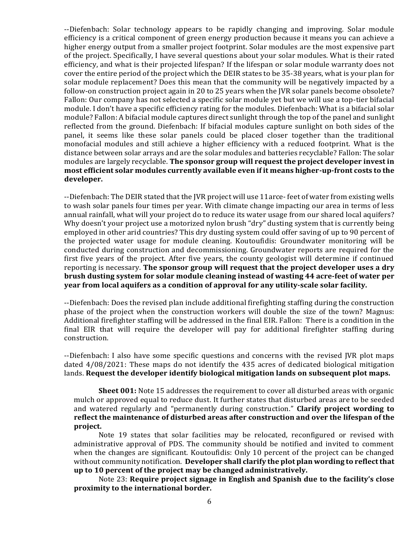--Diefenbach: Solar technology appears to be rapidly changing and improving. Solar module efficiency is a critical component of green energy production because it means you can achieve a higher energy output from a smaller project footprint. Solar modules are the most expensive part of the project. Specifically, I have several questions about your solar modules. What is their rated efficiency, and what is their projected lifespan? If the lifespan or solar module warranty does not cover the entire period of the project which the DEIR states to be 35-38 years, what is your plan for solar module replacement? Does this mean that the community will be negatively impacted by a follow-on construction project again in 20 to 25 years when the JVR solar panels become obsolete? Fallon: Our company has not selected a specific solar module yet but we will use a top-tier bifacial module. I don't have a specific efficiency rating for the modules. Diefenbach: What is a bifacial solar module? Fallon: A bifacial module captures direct sunlight through the top of the panel and sunlight reflected from the ground. Diefenbach: If bifacial modules capture sunlight on both sides of the panel, it seems like these solar panels could be placed closer together than the traditional monofacial modules and still achieve a higher efficiency with a reduced footprint. What is the distance between solar arrays and are the solar modules and batteries recyclable? Fallon: The solar modules are largely recyclable. **The sponsor group will request the project developer invest in most efficient solar modules currently available even if it means higher-up-front costs to the developer.**

--Diefenbach: The DEIR stated that the JVR project will use 11arce- feet of water from existing wells to wash solar panels four times per year. With climate change impacting our area in terms of less annual rainfall, what will your project do to reduce its water usage from our shared local aquifers? Why doesn't your project use a motorized nylon brush "dry" dusting system that is currently being employed in other arid countries? This dry dusting system could offer saving of up to 90 percent of the projected water usage for module cleaning. Koutoufidis: Groundwater monitoring will be conducted during construction and decommissioning. Groundwater reports are required for the first five years of the project. After five years, the county geologist will determine if continued reporting is necessary. **The sponsor group will request that the project developer uses a dry brush dusting system for solar module cleaning instead of wasting 44 acre-feet of water per year from local aquifers as a condition of approval for any utility-scale solar facility.**

--Diefenbach: Does the revised plan include additional firefighting staffing during the construction phase of the project when the construction workers will double the size of the town? Magnus: Additional firefighter staffing will be addressed in the final EIR. Fallon: There is a condition in the final EIR that will require the developer will pay for additional firefighter staffing during construction.

--Diefenbach: I also have some specific questions and concerns with the revised JVR plot maps dated 4/08/2021: These maps do not identify the 435 acres of dedicated biological mitigation lands. **Request the developer identify biological mitigation lands on subsequent plot maps.**

**Sheet 001:** Note 15 addresses the requirement to cover all disturbed areas with organic mulch or approved equal to reduce dust. It further states that disturbed areas are to be seeded and watered regularly and "permanently during construction." **Clarify project wording to reflect the maintenance of disturbed areas after construction and over the lifespan of the project.**

Note 19 states that solar facilities may be relocated, reconfigured or revised with administrative approval of PDS. The community should be notified and invited to comment when the changes are significant. Koutoufidis: Only 10 percent of the project can be changed without community notification. **Developer shall clarify the plot plan wording to reflect that up to 10 percent of the project may be changed administratively.**

Note 23: **Require project signage in English and Spanish due to the facility's close proximity to the international border.**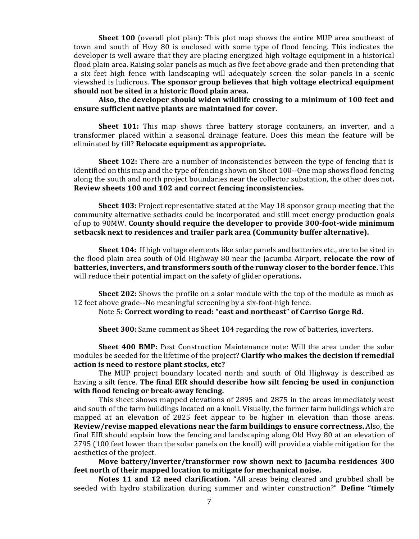**Sheet 100** (overall plot plan): This plot map shows the entire MUP area southeast of town and south of Hwy 80 is enclosed with some type of flood fencing. This indicates the developer is well aware that they are placing energized high voltage equipment in a historical flood plain area. Raising solar panels as much as five feet above grade and then pretending that a six feet high fence with landscaping will adequately screen the solar panels in a scenic viewshed is ludicrous. **The sponsor group believes that high voltage electrical equipment should not be sited in a historic flood plain area.**

**Also, the developer should widen wildlife crossing to a minimum of 100 feet and ensure sufficient native plants are maintained for cover.**

Sheet 101: This map shows three battery storage containers, an inverter, and a transformer placed within a seasonal drainage feature. Does this mean the feature will be eliminated by fill? **Relocate equipment as appropriate.**

**Sheet 102:** There are a number of inconsistencies between the type of fencing that is identified on this map and the type of fencing shown on Sheet 100--One map shows flood fencing along the south and north project boundaries near the collector substation, the other does not**. Review sheets 100 and 102 and correct fencing inconsistencies.** 

**Sheet 103:** Project representative stated at the May 18 sponsor group meeting that the community alternative setbacks could be incorporated and still meet energy production goals of up to 90MW. **County should require the developer to provide 300-foot-wide minimum setbacsk next to residences and trailer park area (Community buffer alternative).**

**Sheet 104:** If high voltage elements like solar panels and batteries etc., are to be sited in the flood plain area south of Old Highway 80 near the Jacumba Airport, **relocate the row of batteries, inverters, and transformers south of the runway closer to the border fence.** This will reduce their potential impact on the safety of glider operations**.** 

**Sheet 202:** Shows the profile on a solar module with the top of the module as much as 12 feet above grade--No meaningful screening by a six-foot-high fence.

Note 5: **Correct wording to read: "east and northeast" of Carriso Gorge Rd.**

**Sheet 300:** Same comment as Sheet 104 regarding the row of batteries, inverters.

**Sheet 400 BMP:** Post Construction Maintenance note: Will the area under the solar modules be seeded for the lifetime of the project? **Clarify who makes the decision if remedial action is need to restore plant stocks, etc?** 

The MUP project boundary located north and south of Old Highway is described as having a silt fence. **The final EIR should describe how silt fencing be used in conjunction with flood fencing or break-away fencing.**

This sheet shows mapped elevations of 2895 and 2875 in the areas immediately west and south of the farm buildings located on a knoll. Visually, the former farm buildings which are mapped at an elevation of 2825 feet appear to be higher in elevation than those areas. **Review/revise mapped elevations near the farm buildings to ensure correctness.** Also, the final EIR should explain how the fencing and landscaping along Old Hwy 80 at an elevation of 2795 (100 feet lower than the solar panels on the knoll) will provide a viable mitigation for the aesthetics of the project.

**Move battery/inverter/transformer row shown next to Jacumba residences 300 feet north of their mapped location to mitigate for mechanical noise.** 

**Notes 11 and 12 need clarification.** "All areas being cleared and grubbed shall be seeded with hydro stabilization during summer and winter construction?" **Define "timely**